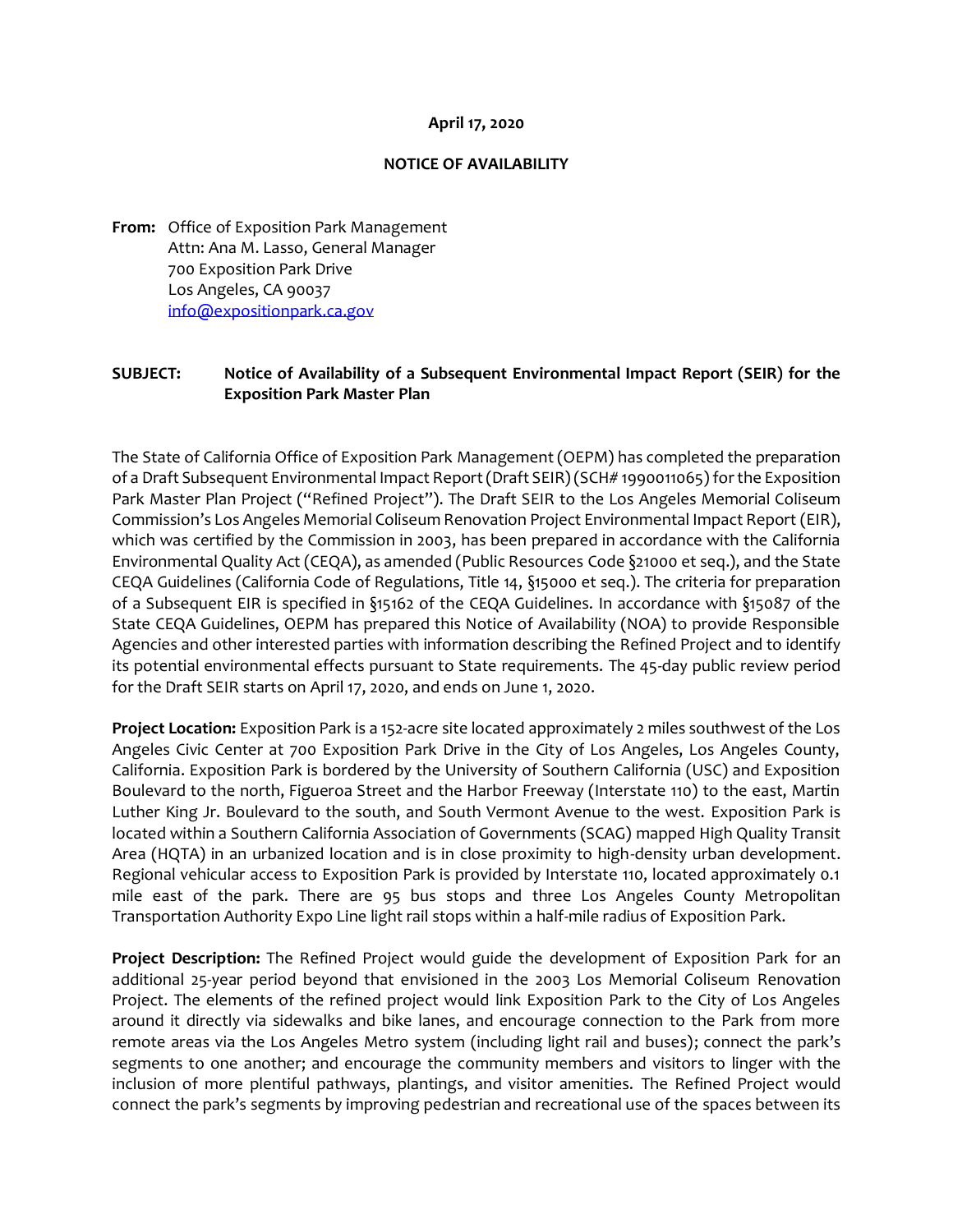## **April 17, 2020**

## **NOTICE OF AVAILABILITY**

**From:** Office of Exposition Park Management Attn: Ana M. Lasso, General Manager 700 Exposition Park Drive Los Angeles, CA 90037 [info@expositionpark.ca.gov](mailto:info@expositionpark.ca.gov)

## **SUBJECT: Notice of Availability of a Subsequent Environmental Impact Report (SEIR) for the Exposition Park Master Plan**

The State of California Office of Exposition Park Management (OEPM) has completed the preparation of a Draft Subsequent Environmental Impact Report (Draft SEIR) (SCH# 1990011065) for the Exposition Park Master Plan Project ("Refined Project"). The Draft SEIR to the Los Angeles Memorial Coliseum Commission's Los Angeles Memorial Coliseum Renovation Project Environmental Impact Report (EIR), which was certified by the Commission in 2003, has been prepared in accordance with the California Environmental Quality Act (CEQA), as amended (Public Resources Code §21000 et seq.), and the State CEQA Guidelines (California Code of Regulations, Title 14, §15000 et seq.). The criteria for preparation of a Subsequent EIR is specified in §15162 of the CEQA Guidelines. In accordance with §15087 of the State CEQA Guidelines, OEPM has prepared this Notice of Availability (NOA) to provide Responsible Agencies and other interested parties with information describing the Refined Project and to identify its potential environmental effects pursuant to State requirements. The 45-day public review period for the Draft SEIR starts on April 17, 2020, and ends on June 1, 2020.

**Project Location:** Exposition Park is a 152-acre site located approximately 2 miles southwest of the Los Angeles Civic Center at 700 Exposition Park Drive in the City of Los Angeles, Los Angeles County, California. Exposition Park is bordered by the University of Southern California (USC) and Exposition Boulevard to the north, Figueroa Street and the Harbor Freeway (Interstate 110) to the east, Martin Luther King Jr. Boulevard to the south, and South Vermont Avenue to the west. Exposition Park is located within a Southern California Association of Governments (SCAG) mapped High Quality Transit Area (HQTA) in an urbanized location and is in close proximity to high-density urban development. Regional vehicular access to Exposition Park is provided by Interstate 110, located approximately 0.1 mile east of the park. There are 95 bus stops and three Los Angeles County Metropolitan Transportation Authority Expo Line light rail stops within a half-mile radius of Exposition Park.

**Project Description:** The Refined Project would guide the development of Exposition Park for an additional 25-year period beyond that envisioned in the 2003 Los Memorial Coliseum Renovation Project. The elements of the refined project would link Exposition Park to the City of Los Angeles around it directly via sidewalks and bike lanes, and encourage connection to the Park from more remote areas via the Los Angeles Metro system (including light rail and buses); connect the park's segments to one another; and encourage the community members and visitors to linger with the inclusion of more plentiful pathways, plantings, and visitor amenities. The Refined Project would connect the park's segments by improving pedestrian and recreational use of the spaces between its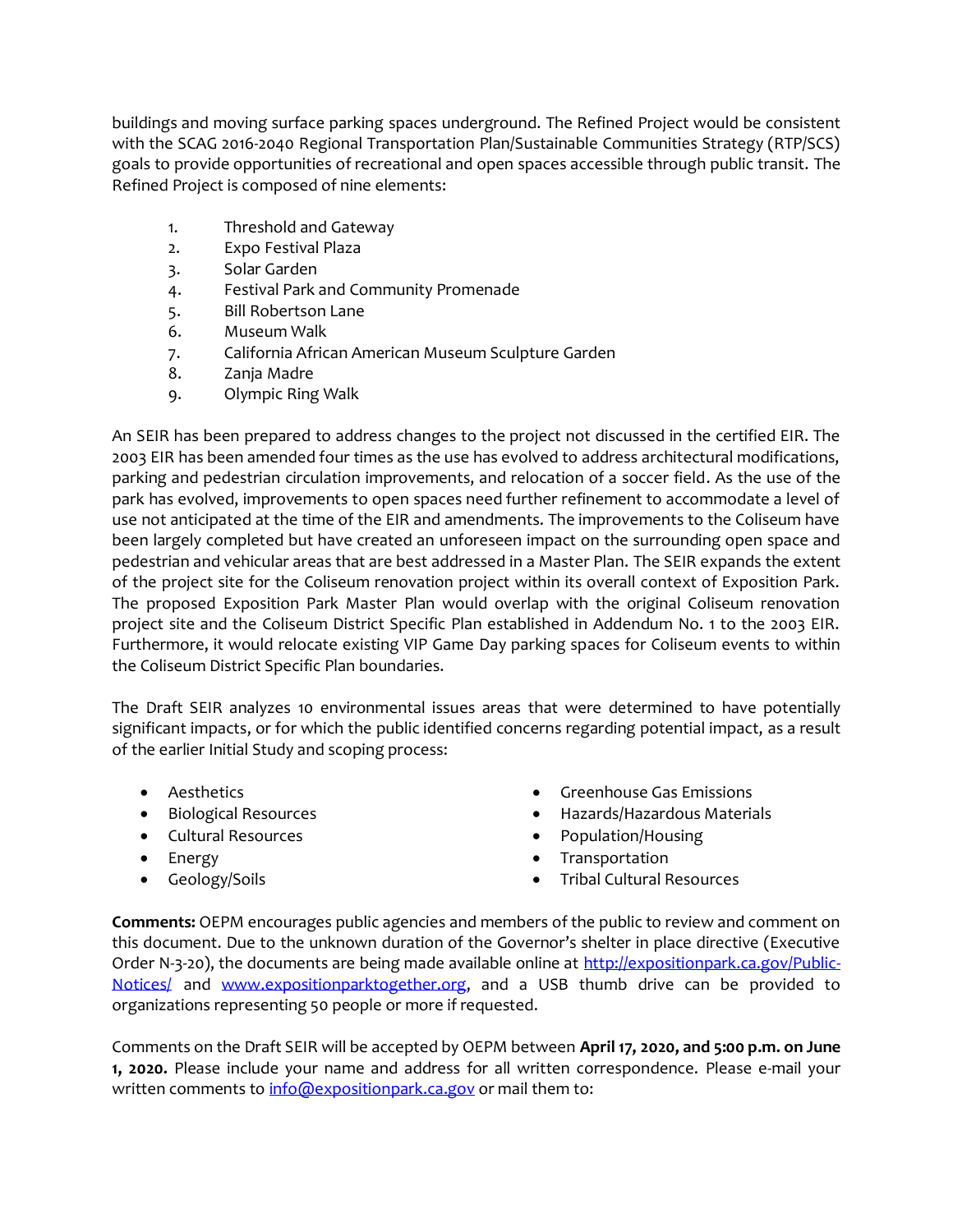buildings and moving surface parking spaces underground. The Refined Project would be consistent with the SCAG 2016-2040 Regional Transportation Plan/Sustainable Communities Strategy (RTP/SCS) goals to provide opportunities of recreational and open spaces accessible through public transit. The Refined Project is composed of nine elements:

- 1. Threshold and Gateway
- 2. Expo Festival Plaza
- 3. Solar Garden
- 4. Festival Park and Community Promenade
- 5. Bill Robertson Lane
- 6. Museum Walk
- 7. California African American Museum Sculpture Garden
- 8. Zanja Madre
- 9. Olympic Ring Walk

An SEIR has been prepared to address changes to the project not discussed in the certified EIR. The 2003 EIR has been amended four times as the use has evolved to address architectural modifications, parking and pedestrian circulation improvements, and relocation of a soccer field. As the use of the park has evolved, improvements to open spaces need further refinement to accommodate a level of use not anticipated at the time of the EIR and amendments. The improvements to the Coliseum have been largely completed but have created an unforeseen impact on the surrounding open space and pedestrian and vehicular areas that are best addressed in a Master Plan. The SEIR expands the extent of the project site for the Coliseum renovation project within its overall context of Exposition Park. The proposed Exposition Park Master Plan would overlap with the original Coliseum renovation project site and the Coliseum District Specific Plan established in Addendum No. 1 to the 2003 EIR. Furthermore, it would relocate existing VIP Game Day parking spaces for Coliseum events to within the Coliseum District Specific Plan boundaries.

The Draft SEIR analyzes 10 environmental issues areas that were determined to have potentially significant impacts, or for which the public identified concerns regarding potential impact, as a result of the earlier Initial Study and scoping process:

- Aesthetics
- Biological Resources
- Cultural Resources
- Energy
- Geology/Soils
- Greenhouse Gas Emissions
- Hazards/Hazardous Materials
- Population/Housing
- **Transportation**
- Tribal Cultural Resources

**Comments:** OEPM encourages public agencies and members of the public to review and comment on this document. Due to the unknown duration of the Governor's shelter in place directive (Executive Order N-3-20), the documents are being made available online at [http://expositionpark.ca.gov/Public-](http://expositionpark.ca.gov/Public-Notices/)[Notices/](http://expositionpark.ca.gov/Public-Notices/) and [www.expositionparktogether.org,](http://www.expositionparktogether.org/) and a USB thumb drive can be provided to organizations representing 50 people or more if requested.

Comments on the Draft SEIR will be accepted by OEPM between **April 17, 2020, and 5:00 p.m. on June 1, 2020.** Please include your name and address for all written correspondence. Please e-mail your written comments t[o info@expositionpark.ca.gov](mailto:info@expositionpark.ca.gov) or mail them to: